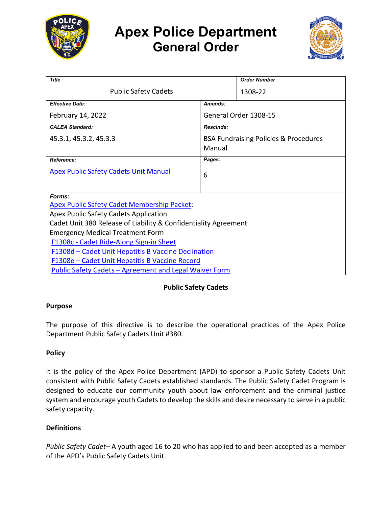

# **Apex Police Department General Order**



| <b>Title</b>                                                    |                                                  | <b>Order Number</b> |
|-----------------------------------------------------------------|--------------------------------------------------|---------------------|
| <b>Public Safety Cadets</b>                                     |                                                  | 1308-22             |
| <b>Effective Date:</b>                                          | Amends:                                          |                     |
| February 14, 2022                                               | General Order 1308-15                            |                     |
| <b>CALEA Standard:</b>                                          | <b>Rescinds:</b>                                 |                     |
| 45.3.1, 45.3.2, 45.3.3                                          | <b>BSA Fundraising Policies &amp; Procedures</b> |                     |
|                                                                 | Manual                                           |                     |
| Reference:                                                      | Pages:                                           |                     |
| <b>Apex Public Safety Cadets Unit Manual</b>                    | 6                                                |                     |
|                                                                 |                                                  |                     |
| Forms:                                                          |                                                  |                     |
| <b>Apex Public Safety Cadet Membership Packet:</b>              |                                                  |                     |
| Apex Public Safety Cadets Application                           |                                                  |                     |
| Cadet Unit 380 Release of Liability & Confidentiality Agreement |                                                  |                     |
| <b>Emergency Medical Treatment Form</b>                         |                                                  |                     |
| F1308c - Cadet Ride-Along Sign-in Sheet                         |                                                  |                     |
| F1308d – Cadet Unit Hepatitis B Vaccine Declination             |                                                  |                     |
| F1308e – Cadet Unit Hepatitis B Vaccine Record                  |                                                  |                     |
| Public Safety Cadets - Agreement and Legal Waiver Form          |                                                  |                     |

## **Public Safety Cadets**

## **Purpose**

The purpose of this directive is to describe the operational practices of the Apex Police Department Public Safety Cadets Unit #380.

## **Policy**

It is the policy of the Apex Police Department (APD) to sponsor a Public Safety Cadets Unit consistent with Public Safety Cadets established standards. The Public Safety Cadet Program is designed to educate our community youth about law enforcement and the criminal justice system and encourage youth Cadets to develop the skills and desire necessary to serve in a public safety capacity.

## **Definitions**

*Public Safety Cadet–* A youth aged 16 to 20 who has applied to and been accepted as a member of the APD's Public Safety Cadets Unit.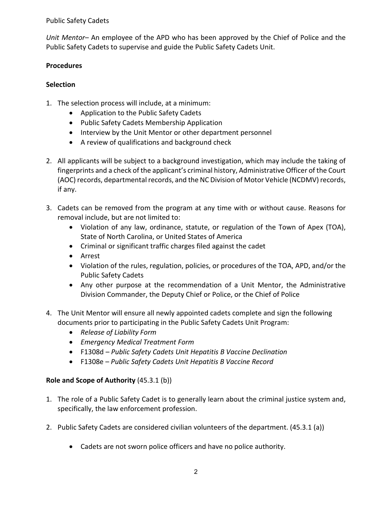*Unit Mentor–* An employee of the APD who has been approved by the Chief of Police and the Public Safety Cadets to supervise and guide the Public Safety Cadets Unit.

#### **Procedures**

## **Selection**

- 1. The selection process will include, at a minimum:
	- Application to the Public Safety Cadets
	- Public Safety Cadets Membership Application
	- Interview by the Unit Mentor or other department personnel
	- A review of qualifications and background check
- 2. All applicants will be subject to a background investigation, which may include the taking of fingerprints and a check of the applicant's criminal history, Administrative Officer of the Court (AOC) records, departmental records, and the NC Division of Motor Vehicle (NCDMV) records, if any.
- 3. Cadets can be removed from the program at any time with or without cause. Reasons for removal include, but are not limited to:
	- Violation of any law, ordinance, statute, or regulation of the Town of Apex (TOA), State of North Carolina, or United States of America
	- Criminal or significant traffic charges filed against the cadet
	- Arrest
	- Violation of the rules, regulation, policies, or procedures of the TOA, APD, and/or the Public Safety Cadets
	- Any other purpose at the recommendation of a Unit Mentor, the Administrative Division Commander, the Deputy Chief or Police, or the Chief of Police
- 4. The Unit Mentor will ensure all newly appointed cadets complete and sign the following documents prior to participating in the Public Safety Cadets Unit Program:
	- *Release of Liability Form*
	- *Emergency Medical Treatment Form*
	- F1308d *Public Safety Cadets Unit Hepatitis B Vaccine Declination*
	- F1308e *Public Safety Cadets Unit Hepatitis B Vaccine Record*

## **Role and Scope of Authority** (45.3.1 (b))

- 1. The role of a Public Safety Cadet is to generally learn about the criminal justice system and, specifically, the law enforcement profession.
- 2. Public Safety Cadets are considered civilian volunteers of the department. (45.3.1 (a))
	- Cadets are not sworn police officers and have no police authority.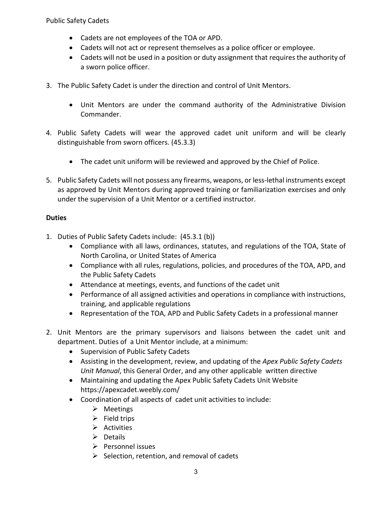- Cadets are not employees of the TOA or APD.
- Cadets will not act or represent themselves as a police officer or employee.
- Cadets will not be used in a position or duty assignment that requires the authority of a sworn police officer.
- 3. The Public Safety Cadet is under the direction and control of Unit Mentors.
	- Unit Mentors are under the command authority of the Administrative Division Commander.
- 4. Public Safety Cadets will wear the approved cadet unit uniform and will be clearly distinguishable from sworn officers. (45.3.3)
	- The cadet unit uniform will be reviewed and approved by the Chief of Police.
- 5. Public Safety Cadets will not possess any firearms, weapons, or less-lethal instruments except as approved by Unit Mentors during approved training or familiarization exercises and only under the supervision of a Unit Mentor or a certified instructor.

## **Duties**

- 1. Duties of Public Safety Cadets include: (45.3.1 (b))
	- Compliance with all laws, ordinances, statutes, and regulations of the TOA, State of North Carolina, or United States of America
	- Compliance with all rules, regulations, policies, and procedures of the TOA, APD, and the Public Safety Cadets
	- Attendance at meetings, events, and functions of the cadet unit
	- Performance of all assigned activities and operations in compliance with instructions, training, and applicable regulations
	- Representation of the TOA, APD and Public Safety Cadets in a professional manner
- 2. Unit Mentors are the primary supervisors and liaisons between the cadet unit and department. Duties of a Unit Mentor include, at a minimum:
	- Supervision of Public Safety Cadets
	- Assisting in the development, review, and updating of the *Apex Public Safety Cadets Unit Manual*, this General Order, and any other applicable written directive
	- Maintaining and updating the Apex Public Safety Cadets Unit Website https://apexcadet.weebly.com/
	- Coordination of all aspects of cadet unit activities to include:
		- $\triangleright$  Meetings
		- $\triangleright$  Field trips
		- $\triangleright$  Activities
		- $\triangleright$  Details
		- $\triangleright$  Personnel issues
		- $\triangleright$  Selection, retention, and removal of cadets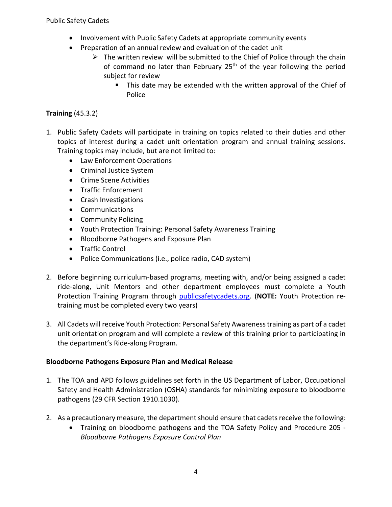- Involvement with Public Safety Cadets at appropriate community events
- Preparation of an annual review and evaluation of the cadet unit
	- $\triangleright$  The written review will be submitted to the Chief of Police through the chain of command no later than February 25<sup>th</sup> of the year following the period subject for review
		- This date may be extended with the written approval of the Chief of Police

## **Training** (45.3.2)

- 1. Public Safety Cadets will participate in training on topics related to their duties and other topics of interest during a cadet unit orientation program and annual training sessions. Training topics may include, but are not limited to:
	- Law Enforcement Operations
	- Criminal Justice System
	- Crime Scene Activities
	- Traffic Enforcement
	- Crash Investigations
	- Communications
	- Community Policing
	- Youth Protection Training: Personal Safety Awareness Training
	- Bloodborne Pathogens and Exposure Plan
	- Traffic Control
	- Police Communications (i.e., police radio, CAD system)
- 2. Before beginning curriculum-based programs, meeting with, and/or being assigned a cadet ride-along, Unit Mentors and other department employees must complete a Youth Protection Training Program through [publicsafetycadets.org.](https://publicsafetycadets.org/default.aspx?menuitemid=1&menusubid=1&menugroup=Public+Home) (**NOTE:** Youth Protection retraining must be completed every two years)
- 3. All Cadets will receive Youth Protection: Personal Safety Awarenesstraining as part of a cadet unit orientation program and will complete a review of this training prior to participating in the department's Ride-along Program.

## **Bloodborne Pathogens Exposure Plan and Medical Release**

- 1. The TOA and APD follows guidelines set forth in the US Department of Labor, Occupational Safety and Health Administration (OSHA) standards for minimizing exposure to bloodborne pathogens (29 CFR Section 1910.1030).
- 2. As a precautionary measure, the department should ensure that cadets receive the following:
	- Training on bloodborne pathogens and the TOA Safety Policy and Procedure 205 *Bloodborne Pathogens Exposure Control Plan*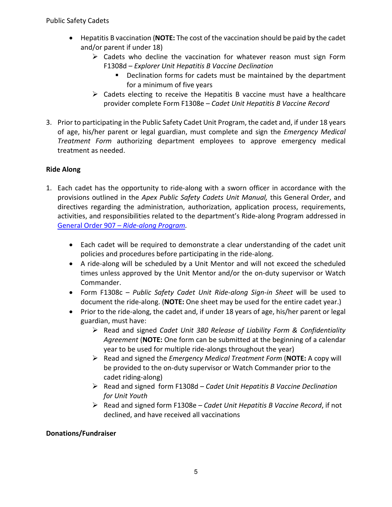- Hepatitis B vaccination (**NOTE:** The cost of the vaccination should be paid by the cadet and/or parent if under 18)
	- $\triangleright$  Cadets who decline the vaccination for whatever reason must sign Form F1308d – *Explorer Unit Hepatitis B Vaccine Declination*
		- **Declination forms for cadets must be maintained by the department** for a minimum of five years
	- $\triangleright$  Cadets electing to receive the Hepatitis B vaccine must have a healthcare provider complete Form F1308e – *Cadet Unit Hepatitis B Vaccine Record*
- 3. Prior to participating in the Public Safety Cadet Unit Program, the cadet and, if under 18 years of age, his/her parent or legal guardian, must complete and sign the *Emergency Medical Treatment Form* authorizing department employees to approve emergency medical treatment as needed.

## **Ride Along**

- 1. Each cadet has the opportunity to ride-along with a sworn officer in accordance with the provisions outlined in the *Apex Public Safety Cadets Unit Manual,* this General Order, and directives regarding the administration, authorization, application process, requirements, activities, and responsibilities related to the department's Ride-along Program addressed in General Order 907 – *[Ride-along Program.](https://powerdms.com/link/APEXPD/document/?id=449558)*
	- Each cadet will be required to demonstrate a clear understanding of the cadet unit policies and procedures before participating in the ride-along.
	- A ride-along will be scheduled by a Unit Mentor and will not exceed the scheduled times unless approved by the Unit Mentor and/or the on-duty supervisor or Watch Commander.
	- Form F1308c *Public Safety Cadet Unit Ride-along Sign-in Sheet* will be used to document the ride-along. (**NOTE:** One sheet may be used for the entire cadet year.)
	- Prior to the ride-along, the cadet and, if under 18 years of age, his/her parent or legal guardian, must have:
		- Read and signed *Cadet Unit 380 Release of Liability Form & Confidentiality Agreement* (**NOTE:** One form can be submitted at the beginning of a calendar year to be used for multiple ride-alongs throughout the year)
		- Read and signed the *Emergency Medical Treatment Form* (**NOTE:** A copy will be provided to the on-duty supervisor or Watch Commander prior to the cadet riding-along)
		- Read and signed form F1308d *Cadet Unit Hepatitis B Vaccine Declination for Unit Youth*
		- Read and signed form F1308e *– Cadet Unit Hepatitis B Vaccine Record*, if not declined, and have received all vaccinations

## **Donations/Fundraiser**